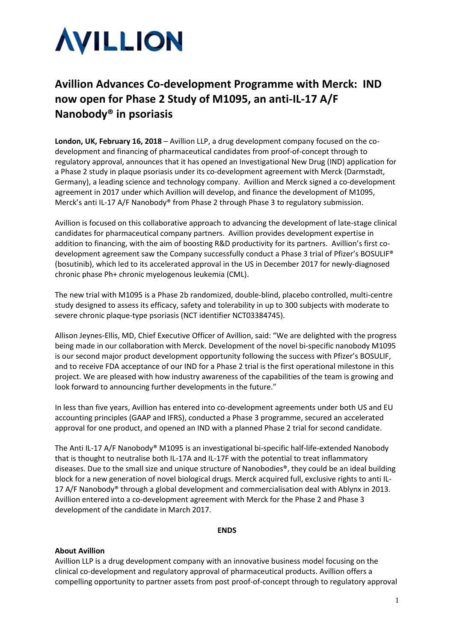

# **Avillion Advances Co-development Programme with Merck: IND now open for Phase 2 Study of M1095, an anti-IL-17 A/F Nanobody® in psoriasis**

**London, UK, February 16, 2018** – Avillion LLP, a drug development company focused on the codevelopment and financing of pharmaceutical candidates from proof-of-concept through to regulatory approval, announces that it has opened an Investigational New Drug (IND) application for a Phase 2 study in plaque psoriasis under its co-development agreement with Merck (Darmstadt, Germany), a leading science and technology company. Avillion and Merck signed a co-development agreement in 2017 under which Avillion will develop, and finance the development of M1095, Merck's anti IL-17 A/F Nanobody® from Phase 2 through Phase 3 to regulatory submission.

Avillion is focused on this collaborative approach to advancing the development of late-stage clinical candidates for pharmaceutical company partners. Avillion provides development expertise in addition to financing, with the aim of boosting R&D productivity for its partners. Avillion's first codevelopment agreement saw the Company successfully conduct a Phase 3 trial of Pfizer's BOSULIF® (bosutinib), which led to its accelerated approval in the US in December 2017 for newly-diagnosed chronic phase Ph+ chronic myelogenous leukemia (CML).

The new trial with M1095 is a Phase 2b randomized, double-blind, placebo controlled, multi-centre study designed to assess its efficacy, safety and tolerability in up to 300 subjects with moderate to severe chronic plaque-type psoriasis (NCT identifier NCT03384745).

Allison Jeynes-Ellis, MD, Chief Executive Officer of Avillion, said: "We are delighted with the progress being made in our collaboration with Merck. Development of the novel bi-specific nanobody M1095 is our second major product development opportunity following the success with Pfizer's BOSULIF, and to receive FDA acceptance of our IND for a Phase 2 trial is the first operational milestone in this project. We are pleased with how industry awareness of the capabilities of the team is growing and look forward to announcing further developments in the future."

In less than five years, Avillion has entered into co-development agreements under both US and EU accounting principles (GAAP and IFRS), conducted a Phase 3 programme, secured an accelerated approval for one product, and opened an IND with a planned Phase 2 trial for second candidate.

The Anti IL-17 A/F Nanobody® M1095 is an investigational bi-specific half-life-extended Nanobody that is thought to neutralise both IL-17A and IL-17F with the potential to treat inflammatory diseases. Due to the small size and unique structure of Nanobodies®, they could be an ideal building block for a new generation of novel biological drugs. Merck acquired full, exclusive rights to anti IL-17 A/F Nanobody<sup>®</sup> through a global development and commercialisation deal with Ablynx in 2013. Avillion entered into a co-development agreement with Merck for the Phase 2 and Phase 3 development of the candidate in March 2017.

#### **ENDS**

# **About Avillion**

Avillion LLP is a drug development company with an innovative business model focusing on the clinical co-development and regulatory approval of pharmaceutical products. Avillion offers a compelling opportunity to partner assets from post proof-of-concept through to regulatory approval